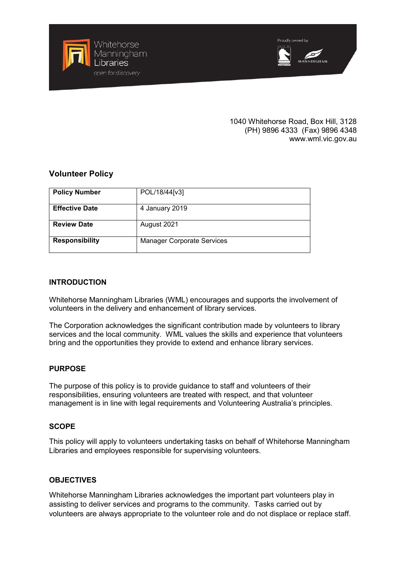

### 1040 Whitehorse Road, Box Hill, 3128 (PH) 9896 4333 (Fax) 9896 4348 www.wml.vic.gov.au

# **Volunteer Policy**

| <b>Policy Number</b>  | POL/18/44[v3]                     |
|-----------------------|-----------------------------------|
| <b>Effective Date</b> | 4 January 2019                    |
| <b>Review Date</b>    | August 2021                       |
| <b>Responsibility</b> | <b>Manager Corporate Services</b> |

## **INTRODUCTION**

Whitehorse Manningham Libraries (WML) encourages and supports the involvement of volunteers in the delivery and enhancement of library services.

The Corporation acknowledges the significant contribution made by volunteers to library services and the local community. WML values the skills and experience that volunteers bring and the opportunities they provide to extend and enhance library services.

## **PURPOSE**

The purpose of this policy is to provide guidance to staff and volunteers of their responsibilities, ensuring volunteers are treated with respect, and that volunteer management is in line with legal requirements and Volunteering Australia's principles.

## **SCOPE**

This policy will apply to volunteers undertaking tasks on behalf of Whitehorse Manningham Libraries and employees responsible for supervising volunteers.

## **OBJECTIVES**

Whitehorse Manningham Libraries acknowledges the important part volunteers play in assisting to deliver services and programs to the community. Tasks carried out by volunteers are always appropriate to the volunteer role and do not displace or replace staff.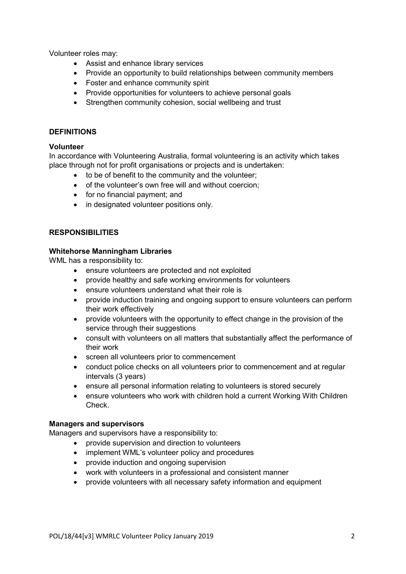Volunteer roles may:

- Assist and enhance library services
- Provide an opportunity to build relationships between community members
- Foster and enhance community spirit
- Provide opportunities for volunteers to achieve personal goals
- Strengthen community cohesion, social wellbeing and trust

#### **DEFINITIONS**

## **Volunteer**

In accordance with Volunteering Australia, formal volunteering is an activity which takes place through not for profit organisations or projects and is undertaken:

- to be of benefit to the community and the volunteer;
- of the volunteer's own free will and without coercion;
- for no financial payment; and
- in designated volunteer positions only.

## **RESPONSIBILITIES**

#### **Whitehorse Manningham Libraries**

WML has a responsibility to:

- ensure volunteers are protected and not exploited
- provide healthy and safe working environments for volunteers
- ensure volunteers understand what their role is
- provide induction training and ongoing support to ensure volunteers can perform their work effectively
- provide volunteers with the opportunity to effect change in the provision of the service through their suggestions
- consult with volunteers on all matters that substantially affect the performance of their work
- screen all volunteers prior to commencement
- conduct police checks on all volunteers prior to commencement and at regular intervals (3 years)
- ensure all personal information relating to volunteers is stored securely
- ensure volunteers who work with children hold a current Working With Children Check.

## **Managers and supervisors**

Managers and supervisors have a responsibility to:

- provide supervision and direction to volunteers
- implement WML's volunteer policy and procedures
- provide induction and ongoing supervision
- work with volunteers in a professional and consistent manner
- provide volunteers with all necessary safety information and equipment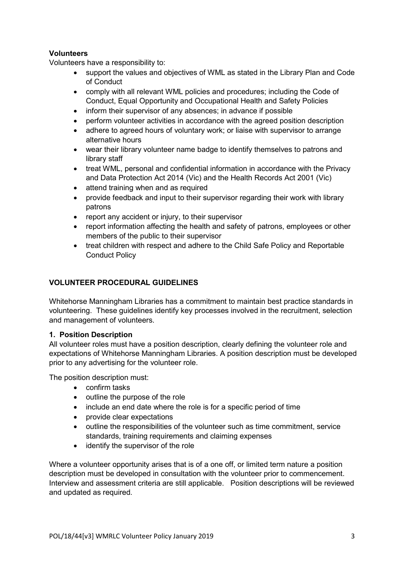## **Volunteers**

Volunteers have a responsibility to:

- support the values and objectives of WML as stated in the Library Plan and Code of Conduct
- comply with all relevant WML policies and procedures; including the Code of Conduct, Equal Opportunity and Occupational Health and Safety Policies
- inform their supervisor of any absences; in advance if possible
- perform volunteer activities in accordance with the agreed position description
- adhere to agreed hours of voluntary work; or liaise with supervisor to arrange alternative hours
- wear their library volunteer name badge to identify themselves to patrons and library staff
- treat WML, personal and confidential information in accordance with the Privacy and Data Protection Act 2014 (Vic) and the Health Records Act 2001 (Vic)
- attend training when and as required
- provide feedback and input to their supervisor regarding their work with library patrons
- report any accident or injury, to their supervisor
- report information affecting the health and safety of patrons, employees or other members of the public to their supervisor
- treat children with respect and adhere to the Child Safe Policy and Reportable Conduct Policy

## **VOLUNTEER PROCEDURAL GUIDELINES**

Whitehorse Manningham Libraries has a commitment to maintain best practice standards in volunteering. These guidelines identify key processes involved in the recruitment, selection and management of volunteers.

## **1. Position Description**

All volunteer roles must have a position description, clearly defining the volunteer role and expectations of Whitehorse Manningham Libraries. A position description must be developed prior to any advertising for the volunteer role.

The position description must:

- confirm tasks
- outline the purpose of the role
- include an end date where the role is for a specific period of time
- provide clear expectations
- outline the responsibilities of the volunteer such as time commitment, service standards, training requirements and claiming expenses
- identify the supervisor of the role

Where a volunteer opportunity arises that is of a one off, or limited term nature a position description must be developed in consultation with the volunteer prior to commencement. Interview and assessment criteria are still applicable. Position descriptions will be reviewed and updated as required.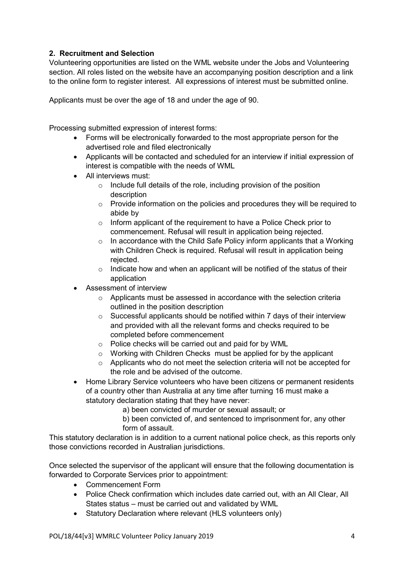# **2. Recruitment and Selection**

Volunteering opportunities are listed on the WML website under the Jobs and Volunteering section. All roles listed on the website have an accompanying position description and a link to the online form to register interest. All expressions of interest must be submitted online.

Applicants must be over the age of 18 and under the age of 90.

Processing submitted expression of interest forms:

- Forms will be electronically forwarded to the most appropriate person for the advertised role and filed electronically
- Applicants will be contacted and scheduled for an interview if initial expression of interest is compatible with the needs of WML
- All interviews must:
	- o Include full details of the role, including provision of the position description
	- o Provide information on the policies and procedures they will be required to abide by
	- o Inform applicant of the requirement to have a Police Check prior to commencement. Refusal will result in application being rejected.
	- $\circ$  In accordance with the Child Safe Policy inform applicants that a Working with Children Check is required. Refusal will result in application being rejected.
	- $\circ$  Indicate how and when an applicant will be notified of the status of their application
- Assessment of interview
	- o Applicants must be assessed in accordance with the selection criteria outlined in the position description
	- o Successful applicants should be notified within 7 days of their interview and provided with all the relevant forms and checks required to be completed before commencement
	- o Police checks will be carried out and paid for by WML
	- o Working with Children Checks must be applied for by the applicant
	- o Applicants who do not meet the selection criteria will not be accepted for the role and be advised of the outcome.
- Home Library Service volunteers who have been citizens or permanent residents of a country other than Australia at any time after turning 16 must make a statutory declaration stating that they have never:
	- a) been convicted of murder or sexual assault; or
	- b) been convicted of, and sentenced to imprisonment for, any other form of assault.

This statutory declaration is in addition to a current national police check, as this reports only those convictions recorded in Australian jurisdictions.

Once selected the supervisor of the applicant will ensure that the following documentation is forwarded to Corporate Services prior to appointment:

- Commencement Form
- Police Check confirmation which includes date carried out, with an All Clear, All States status – must be carried out and validated by WML
- Statutory Declaration where relevant (HLS volunteers only)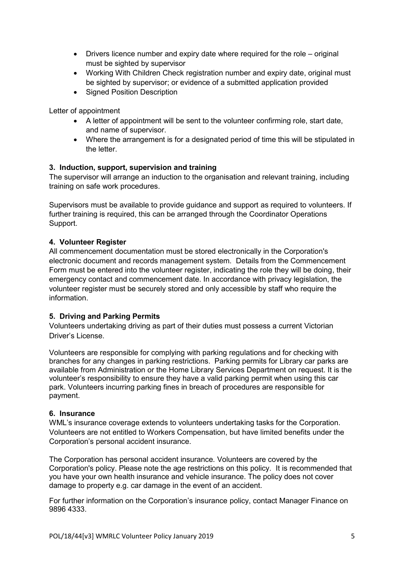- Drivers licence number and expiry date where required for the role original must be sighted by supervisor
- Working With Children Check registration number and expiry date, original must be sighted by supervisor; or evidence of a submitted application provided
- Signed Position Description

Letter of appointment

- A letter of appointment will be sent to the volunteer confirming role, start date, and name of supervisor.
- Where the arrangement is for a designated period of time this will be stipulated in the letter.

## **3. Induction, support, supervision and training**

The supervisor will arrange an induction to the organisation and relevant training, including training on safe work procedures.

Supervisors must be available to provide guidance and support as required to volunteers. If further training is required, this can be arranged through the Coordinator Operations Support.

## **4. Volunteer Register**

All commencement documentation must be stored electronically in the Corporation's electronic document and records management system. Details from the Commencement Form must be entered into the volunteer register, indicating the role they will be doing, their emergency contact and commencement date. In accordance with privacy legislation, the volunteer register must be securely stored and only accessible by staff who require the information.

## **5. Driving and Parking Permits**

Volunteers undertaking driving as part of their duties must possess a current Victorian Driver's License.

Volunteers are responsible for complying with parking regulations and for checking with branches for any changes in parking restrictions. Parking permits for Library car parks are available from Administration or the Home Library Services Department on request. It is the volunteer's responsibility to ensure they have a valid parking permit when using this car park. Volunteers incurring parking fines in breach of procedures are responsible for payment.

## **6. Insurance**

WML's insurance coverage extends to volunteers undertaking tasks for the Corporation. Volunteers are not entitled to Workers Compensation, but have limited benefits under the Corporation's personal accident insurance.

The Corporation has personal accident insurance. Volunteers are covered by the Corporation's policy. Please note the age restrictions on this policy. It is recommended that you have your own health insurance and vehicle insurance. The policy does not cover damage to property e.g. car damage in the event of an accident.

For further information on the Corporation's insurance policy, contact Manager Finance on 9896 4333.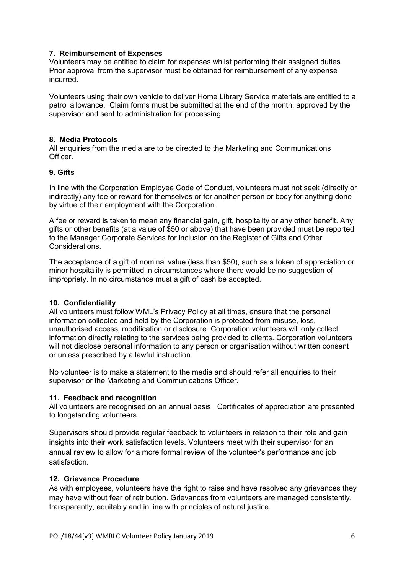## **7. Reimbursement of Expenses**

Volunteers may be entitled to claim for expenses whilst performing their assigned duties. Prior approval from the supervisor must be obtained for reimbursement of any expense incurred.

Volunteers using their own vehicle to deliver Home Library Service materials are entitled to a petrol allowance. Claim forms must be submitted at the end of the month, approved by the supervisor and sent to administration for processing.

## **8. Media Protocols**

All enquiries from the media are to be directed to the Marketing and Communications Officer.

## **9. Gifts**

In line with the Corporation Employee Code of Conduct, volunteers must not seek (directly or indirectly) any fee or reward for themselves or for another person or body for anything done by virtue of their employment with the Corporation.

A fee or reward is taken to mean any financial gain, gift, hospitality or any other benefit. Any gifts or other benefits (at a value of \$50 or above) that have been provided must be reported to the Manager Corporate Services for inclusion on the Register of Gifts and Other Considerations.

The acceptance of a gift of nominal value (less than \$50), such as a token of appreciation or minor hospitality is permitted in circumstances where there would be no suggestion of impropriety. In no circumstance must a gift of cash be accepted.

## **10. Confidentiality**

All volunteers must follow WML's Privacy Policy at all times, ensure that the personal information collected and held by the Corporation is protected from misuse, loss, unauthorised access, modification or disclosure. Corporation volunteers will only collect information directly relating to the services being provided to clients. Corporation volunteers will not disclose personal information to any person or organisation without written consent or unless prescribed by a lawful instruction.

No volunteer is to make a statement to the media and should refer all enquiries to their supervisor or the Marketing and Communications Officer.

## **11. Feedback and recognition**

All volunteers are recognised on an annual basis. Certificates of appreciation are presented to longstanding volunteers.

Supervisors should provide regular feedback to volunteers in relation to their role and gain insights into their work satisfaction levels. Volunteers meet with their supervisor for an annual review to allow for a more formal review of the volunteer's performance and job satisfaction.

## **12. Grievance Procedure**

As with employees, volunteers have the right to raise and have resolved any grievances they may have without fear of retribution. Grievances from volunteers are managed consistently, transparently, equitably and in line with principles of natural justice.